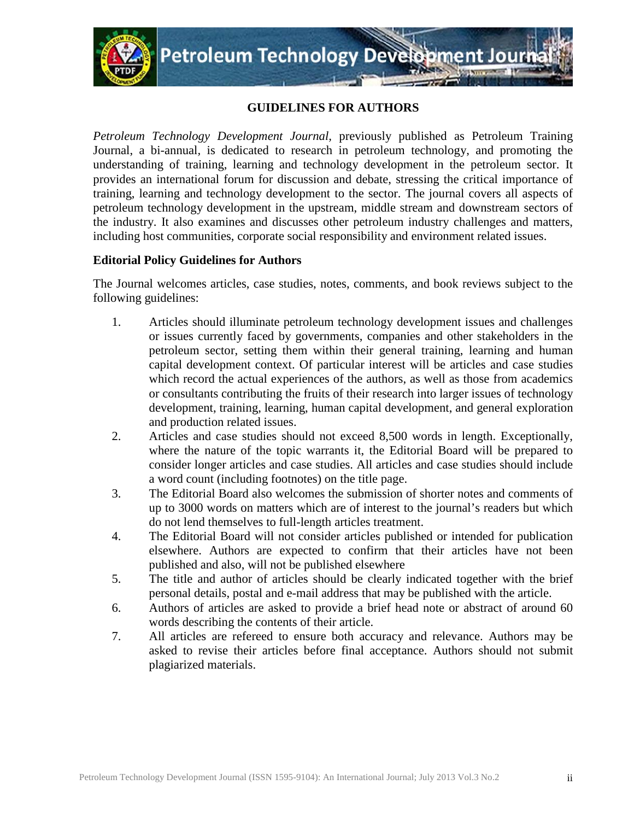

## **GUIDELINES FOR AUTHORS**

*Petroleum Technology Development Journal,* previously published as Petroleum Training Journal, a bi-annual*,* is dedicated to research in petroleum technology, and promoting the understanding of training, learning and technology development in the petroleum sector. It provides an international forum for discussion and debate, stressing the critical importance of training, learning and technology development to the sector. The journal covers all aspects of petroleum technology development in the upstream, middle stream and downstream sectors of the industry. It also examines and discusses other petroleum industry challenges and matters, including host communities, corporate social responsibility and environment related issues.

## **Editorial Policy Guidelines for Authors**

The Journal welcomes articles, case studies, notes, comments, and book reviews subject to the following guidelines:

- 1. Articles should illuminate petroleum technology development issues and challenges or issues currently faced by governments, companies and other stakeholders in the petroleum sector, setting them within their general training, learning and human capital development context. Of particular interest will be articles and case studies which record the actual experiences of the authors, as well as those from academics or consultants contributing the fruits of their research into larger issues of technology development, training, learning, human capital development, and general exploration and production related issues.
- 2. Articles and case studies should not exceed 8,500 words in length. Exceptionally, where the nature of the topic warrants it, the Editorial Board will be prepared to consider longer articles and case studies. All articles and case studies should include a word count (including footnotes) on the title page.
- 3. The Editorial Board also welcomes the submission of shorter notes and comments of up to 3000 words on matters which are of interest to the journal's readers but which do not lend themselves to full-length articles treatment.
- 4. The Editorial Board will not consider articles published or intended for publication elsewhere. Authors are expected to confirm that their articles have not been published and also, will not be published elsewhere
- 5. The title and author of articles should be clearly indicated together with the brief personal details, postal and e-mail address that may be published with the article.
- 6. Authors of articles are asked to provide a brief head note or abstract of around 60 words describing the contents of their article.
- 7. All articles are refereed to ensure both accuracy and relevance. Authors may be asked to revise their articles before final acceptance. Authors should not submit plagiarized materials.